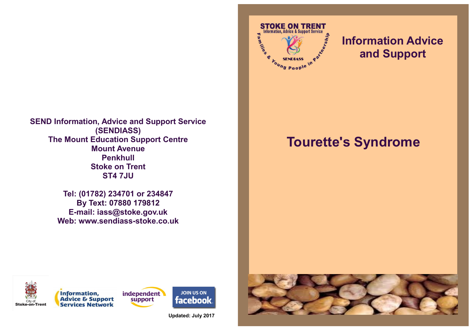

**Tel: (01782) 234701 or 234847 By Text: 07880 179812 E-mail: iass@stoke.gov.uk Web: www.sendiass-stoke.co.uk**



# **Information Advice and Support**

# **Tourette's Syndrome**





**JOIN US ON facebook** 

**Updated: July 2017**

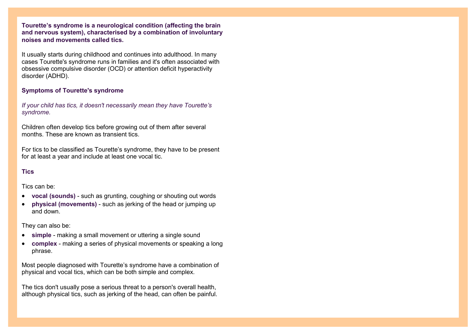**Tourette's syndrome is a neurological condition (affecting the brain and nervous system), characterised by a combination of involuntary noises and movements called [tics.](http://www.nhs.uk/Conditions/Tics/Pages/Introduction.aspx)**

It usually starts during childhood and continues into adulthood. In many cases Tourette's syndrome runs in families and it's often associated with [obsessive compulsive disorder \(OCD\)](http://www.nhs.uk/Conditions/Obsessive-compulsive-disorder/Pages/Introduction.aspx) or [attention deficit hyperactivity](http://www.nhs.uk/Conditions/Attention-deficit-hyperactivity-disorder/Pages/Introduction.aspx)  [disorder \(ADHD\).](http://www.nhs.uk/Conditions/Attention-deficit-hyperactivity-disorder/Pages/Introduction.aspx)

#### **Symptoms of Tourette's syndrome**

*If your child has tics, it doesn't necessarily mean they have Tourette's syndrome.*

Children often develop [tics](http://www.nhs.uk/Conditions/Tics/Pages/Introduction.aspx) before growing out of them after several months. These are known as transient tics.

For tics to be classified as Tourette's syndrome, they have to be present for at least a year and include at least one vocal tic.

#### **Tics**

Tics can be:

- **vocal (sounds)** such as grunting, coughing or shouting out words
- **physical (movements)** such as jerking of the head or jumping up and down.

They can also be:

- **simple** making a small movement or uttering a single sound
- **complex** making a series of physical movements or speaking a long phrase.

Most people diagnosed with Tourette's syndrome have a combination of physical and vocal tics, which can be both simple and complex.

The tics don't usually pose a serious threat to a person's overall health, although physical tics, such as jerking of the head, can often be painful.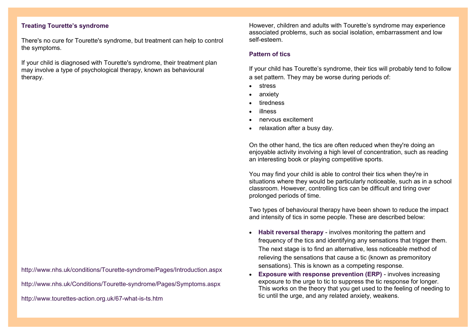# **Treating Tourette's syndrome**

There's no cure for Tourette's syndrome, but treatment can help to control the symptoms.

If your child is diagnosed with Tourette's syndrome, their treatment plan may involve a type of psychological therapy, known as behavioural therapy.

http://www.nhs.uk/conditions/Tourette-syndrome/Pages/Introduction.aspx

http://www.nhs.uk/Conditions/Tourette-syndrome/Pages/Symptoms.aspx

http://www.tourettes-action.org.uk/67-what-is-ts.htm

However, children and adults with Tourette's syndrome may experience associated problems, such as social isolation, embarrassment and low self-esteem.

#### **Pattern of tics**

If your child has Tourette's syndrome, their tics will probably tend to follow a set pattern. They may be worse during periods of:

- [stress](http://www.nhs.uk/Conditions/stress-anxiety-depression/Pages/understanding-stress.aspx)
- [anxiety](http://www.nhs.uk/Conditions/stress-anxiety-depression/Pages/understanding-panic.aspx)
- tiredness
- illness
- nervous excitement
- relaxation after a busy day.

On the other hand, the tics are often reduced when they're doing an enjoyable activity involving a high level of concentration, such as reading an interesting book or playing competitive sports.

You may find your child is able to control their tics when they're in situations where they would be particularly noticeable, such as in a school classroom. However, controlling tics can be difficult and tiring over prolonged periods of time.

Two types of behavioural therapy have been shown to reduce the impact and intensity of tics in some people. These are described below:

- **Habit reversal therapy** involves monitoring the pattern and frequency of the tics and identifying any sensations that trigger them. The next stage is to find an alternative, less noticeable method of relieving the sensations that cause a tic (known as premonitory sensations). This is known as a competing response.
- **Exposure with response prevention (ERP)** involves increasing exposure to the urge to tic to suppress the tic response for longer. This works on the theory that you get used to the feeling of needing to tic until the urge, and any related anxiety, weakens.